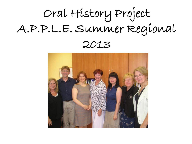# Oral History Project A.P.P.L.E. Summer Regional

2013

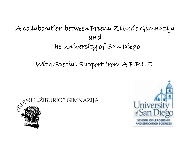#### A collaboration between Prienu Ziburio Gimnazija and The University of San Diego

#### With Special Support from A.P.P.L.E.



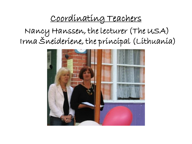#### Coordinating Teachers

Nancy Hanssen, the lecturer (The USA) Irma Šneideriene, the principal (Lithuania)

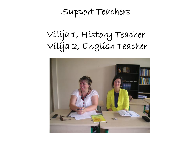Support Teachers

Vilija 1, History Teacher Vilija 2, English Teacher

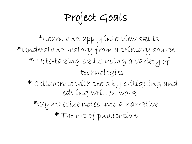Project Goals

\*Learn and apply interview skills \*Understand history from a primary source \* Note-taking skills using a variety of technologies \* Collaborate with peers by critiquing and editing written work \*Synthesize notes into a narrative \* The art of publication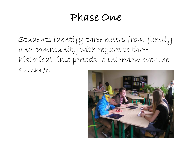# Phase One

Students identify three elders from family and community with regard to three historical time periods to interview over the summer.

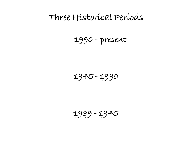#### Three Historical Periods

1990 – present

1945 - 1990

1939 - 1945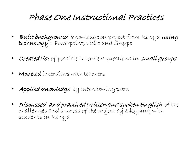#### Phase One Instructional Practices

- Built background knowledge on project from Kenya using technology : Powerpoint, video and Skype
- Created list of possible interview questions in small groups
- Modeled interviews with teachers
- Applied knowledge by interviewing peers
- Discussed and practiced written and spoken English of the challenges and success of the project by Skyping with students in Kenya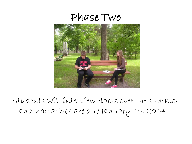

Students will interview elders over the summer and narratives are due January 15, 2014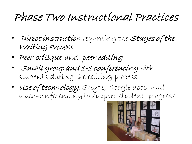# Phase Two Instructional Practices

- Direct instruction regarding the Stages of the Writing Process
- Peer-critique and peer-editing
- Small group and 1-1 conferencing with students during the editing process
- Use of technology: Skype, Google docs, and video-conferencing to support student progress

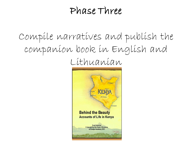### Phase Three

# Compile narratives and publish the companion book in English and

Lithuanian

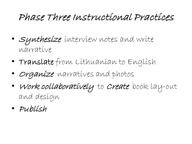# Phase Three Instructional Practices

- Synthesize interview notes and write narrative
- Translate from Lithuanian to English
- Organize narratives and photos
- Work collaboratively to Create book lay-out and design
- Publish